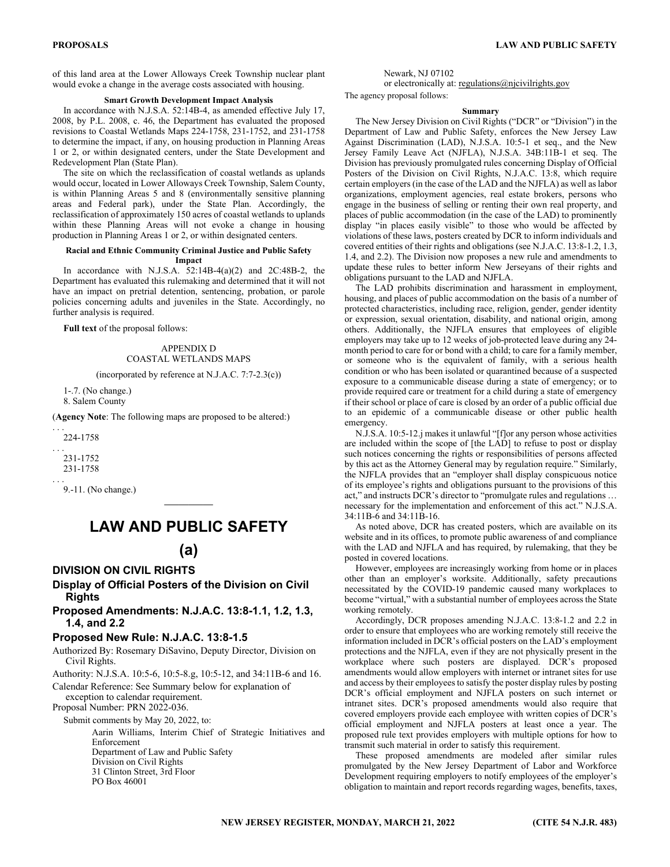of this land area at the Lower Alloways Creek Township nuclear plant would evoke a change in the average costs associated with housing.

#### **Smart Growth Development Impact Analysis**

In accordance with N.J.S.A. 52:14B-4, as amended effective July 17, 2008, by P.L. 2008, c. 46, the Department has evaluated the proposed revisions to Coastal Wetlands Maps 224-1758, 231-1752, and 231-1758 to determine the impact, if any, on housing production in Planning Areas 1 or 2, or within designated centers, under the State Development and Redevelopment Plan (State Plan).

The site on which the reclassification of coastal wetlands as uplands would occur, located in Lower Alloways Creek Township, Salem County, is within Planning Areas 5 and 8 (environmentally sensitive planning areas and Federal park), under the State Plan. Accordingly, the reclassification of approximately 150 acres of coastal wetlands to uplands within these Planning Areas will not evoke a change in housing production in Planning Areas 1 or 2, or within designated centers.

#### **Racial and Ethnic Community Criminal Justice and Public Safety Impact**

In accordance with N.J.S.A. 52:14B-4(a)(2) and 2C:48B-2, the Department has evaluated this rulemaking and determined that it will not have an impact on pretrial detention, sentencing, probation, or parole policies concerning adults and juveniles in the State. Accordingly, no further analysis is required.

**Full text** of the proposal follows:

#### APPENDIX D COASTAL WETLANDS MAPS

(incorporated by reference at N.J.A.C. 7:7-2.3(c))

1-.7. (No change.)

8. Salem County

(**Agency Note**: The following maps are proposed to be altered:)

. . . 224-1758

. . . 231-1752 231-1758

. . .

9.-11. (No change.)

# **LAW AND PUBLIC SAFETY**

 $\mathcal{L}_\text{max}$ 

## **(a)**

## **DIVISION ON CIVIL RIGHTS**

## **Display of Official Posters of the Division on Civil Rights**

## **Proposed Amendments: N.J.A.C. 13:8-1.1, 1.2, 1.3, 1.4, and 2.2**

## **Proposed New Rule: N.J.A.C. 13:8-1.5**

Authorized By: Rosemary DiSavino, Deputy Director, Division on Civil Rights.

Authority: N.J.S.A. 10:5-6, 10:5-8.g, 10:5-12, and 34:11B-6 and 16.

Calendar Reference: See Summary below for explanation of exception to calendar requirement.

Proposal Number: PRN 2022-036.

Submit comments by May 20, 2022, to:

Aarin Williams, Interim Chief of Strategic Initiatives and Enforcement Department of Law and Public Safety Division on Civil Rights 31 Clinton Street, 3rd Floor PO Box 46001

Newark, NJ 07102

or electronically at: regulations@njcivilrights.gov The agency proposal follows:

#### **Summary**

The New Jersey Division on Civil Rights ("DCR" or "Division") in the Department of Law and Public Safety, enforces the New Jersey Law Against Discrimination (LAD), N.J.S.A. 10:5-1 et seq., and the New Jersey Family Leave Act (NJFLA), N.J.S.A. 34B:11B-1 et seq. The Division has previously promulgated rules concerning Display of Official Posters of the Division on Civil Rights, N.J.A.C. 13:8, which require certain employers (in the case of the LAD and the NJFLA) as well as labor organizations, employment agencies, real estate brokers, persons who engage in the business of selling or renting their own real property, and places of public accommodation (in the case of the LAD) to prominently display "in places easily visible" to those who would be affected by violations of these laws, posters created by DCR to inform individuals and covered entities of their rights and obligations (see N.J.A.C. 13:8-1.2, 1.3, 1.4, and 2.2). The Division now proposes a new rule and amendments to update these rules to better inform New Jerseyans of their rights and obligations pursuant to the LAD and NJFLA.

The LAD prohibits discrimination and harassment in employment, housing, and places of public accommodation on the basis of a number of protected characteristics, including race, religion, gender, gender identity or expression, sexual orientation, disability, and national origin, among others. Additionally, the NJFLA ensures that employees of eligible employers may take up to 12 weeks of job-protected leave during any 24 month period to care for or bond with a child; to care for a family member, or someone who is the equivalent of family, with a serious health condition or who has been isolated or quarantined because of a suspected exposure to a communicable disease during a state of emergency; or to provide required care or treatment for a child during a state of emergency if their school or place of care is closed by an order of a public official due to an epidemic of a communicable disease or other public health emergency.

N.J.S.A. 10:5-12.j makes it unlawful "[f]or any person whose activities are included within the scope of [the LAD] to refuse to post or display such notices concerning the rights or responsibilities of persons affected by this act as the Attorney General may by regulation require." Similarly, the NJFLA provides that an "employer shall display conspicuous notice of its employee's rights and obligations pursuant to the provisions of this act," and instructs DCR's director to "promulgate rules and regulations … necessary for the implementation and enforcement of this act." N.J.S.A. 34:11B-6 and 34:11B-16.

As noted above, DCR has created posters, which are available on its website and in its offices, to promote public awareness of and compliance with the LAD and NJFLA and has required, by rulemaking, that they be posted in covered locations.

However, employees are increasingly working from home or in places other than an employer's worksite. Additionally, safety precautions necessitated by the COVID-19 pandemic caused many workplaces to become "virtual," with a substantial number of employees across the State working remotely.

Accordingly, DCR proposes amending N.J.A.C. 13:8-1.2 and 2.2 in order to ensure that employees who are working remotely still receive the information included in DCR's official posters on the LAD's employment protections and the NJFLA, even if they are not physically present in the workplace where such posters are displayed. DCR's proposed amendments would allow employers with internet or intranet sites for use and access by their employees to satisfy the poster display rules by posting DCR's official employment and NJFLA posters on such internet or intranet sites. DCR's proposed amendments would also require that covered employers provide each employee with written copies of DCR's official employment and NJFLA posters at least once a year. The proposed rule text provides employers with multiple options for how to transmit such material in order to satisfy this requirement.

These proposed amendments are modeled after similar rules promulgated by the New Jersey Department of Labor and Workforce Development requiring employers to notify employees of the employer's obligation to maintain and report records regarding wages, benefits, taxes,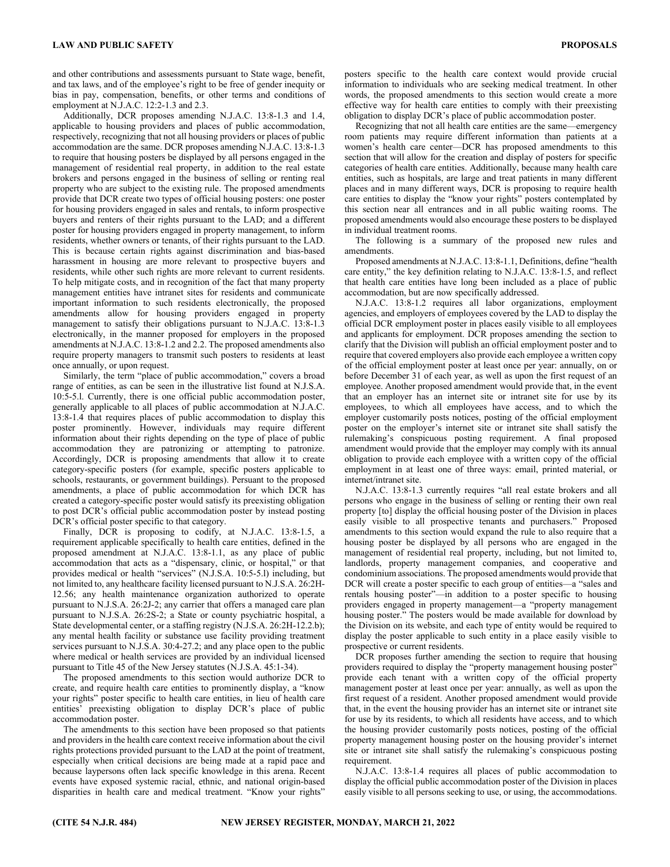and other contributions and assessments pursuant to State wage, benefit, and tax laws, and of the employee's right to be free of gender inequity or bias in pay, compensation, benefits, or other terms and conditions of employment at N.J.A.C. 12:2-1.3 and 2.3.

Additionally, DCR proposes amending N.J.A.C. 13:8-1.3 and 1.4, applicable to housing providers and places of public accommodation, respectively, recognizing that not all housing providers or places of public accommodation are the same. DCR proposes amending N.J.A.C. 13:8-1.3 to require that housing posters be displayed by all persons engaged in the management of residential real property, in addition to the real estate brokers and persons engaged in the business of selling or renting real property who are subject to the existing rule. The proposed amendments provide that DCR create two types of official housing posters: one poster for housing providers engaged in sales and rentals, to inform prospective buyers and renters of their rights pursuant to the LAD; and a different poster for housing providers engaged in property management, to inform residents, whether owners or tenants, of their rights pursuant to the LAD. This is because certain rights against discrimination and bias-based harassment in housing are more relevant to prospective buyers and residents, while other such rights are more relevant to current residents. To help mitigate costs, and in recognition of the fact that many property management entities have intranet sites for residents and communicate important information to such residents electronically, the proposed amendments allow for housing providers engaged in property management to satisfy their obligations pursuant to N.J.A.C. 13:8-1.3 electronically, in the manner proposed for employers in the proposed amendments at N.J.A.C. 13:8-1.2 and 2.2. The proposed amendments also require property managers to transmit such posters to residents at least once annually, or upon request.

Similarly, the term "place of public accommodation," covers a broad range of entities, as can be seen in the illustrative list found at N.J.S.A. 10:5-5.l. Currently, there is one official public accommodation poster, generally applicable to all places of public accommodation at N.J.A.C. 13:8-1.4 that requires places of public accommodation to display this poster prominently. However, individuals may require different information about their rights depending on the type of place of public accommodation they are patronizing or attempting to patronize. Accordingly, DCR is proposing amendments that allow it to create category-specific posters (for example, specific posters applicable to schools, restaurants, or government buildings). Persuant to the proposed amendments, a place of public accommodation for which DCR has created a category-specific poster would satisfy its preexisting obligation to post DCR's official public accommodation poster by instead posting DCR's official poster specific to that category.

Finally, DCR is proposing to codify, at N.J.A.C. 13:8-1.5, a requirement applicable specifically to health care entities, defined in the proposed amendment at N.J.A.C. 13:8-1.1, as any place of public accommodation that acts as a "dispensary, clinic, or hospital," or that provides medical or health "services" (N.J.S.A. 10:5-5.l) including, but not limited to, any healthcare facility licensed pursuant to N.J.S.A. 26:2H-12.56; any health maintenance organization authorized to operate pursuant to N.J.S.A. 26:2J-2; any carrier that offers a managed care plan pursuant to N.J.S.A. 26:2S-2; a State or county psychiatric hospital, a State developmental center, or a staffing registry (N.J.S.A. 26:2H-12.2.b); any mental health facility or substance use facility providing treatment services pursuant to N.J.S.A. 30:4-27.2; and any place open to the public where medical or health services are provided by an individual licensed pursuant to Title 45 of the New Jersey statutes (N.J.S.A. 45:1-34).

The proposed amendments to this section would authorize DCR to create, and require health care entities to prominently display, a "know your rights" poster specific to health care entities, in lieu of health care entities' preexisting obligation to display DCR's place of public accommodation poster.

The amendments to this section have been proposed so that patients and providers in the health care context receive information about the civil rights protections provided pursuant to the LAD at the point of treatment, especially when critical decisions are being made at a rapid pace and because laypersons often lack specific knowledge in this arena. Recent events have exposed systemic racial, ethnic, and national origin-based disparities in health care and medical treatment. "Know your rights"

posters specific to the health care context would provide crucial information to individuals who are seeking medical treatment. In other words, the proposed amendments to this section would create a more effective way for health care entities to comply with their preexisting obligation to display DCR's place of public accommodation poster.

Recognizing that not all health care entities are the same—emergency room patients may require different information than patients at a women's health care center—DCR has proposed amendments to this section that will allow for the creation and display of posters for specific categories of health care entities. Additionally, because many health care entities, such as hospitals, are large and treat patients in many different places and in many different ways, DCR is proposing to require health care entities to display the "know your rights" posters contemplated by this section near all entrances and in all public waiting rooms. The proposed amendments would also encourage these posters to be displayed in individual treatment rooms.

The following is a summary of the proposed new rules and amendments.

Proposed amendments at N.J.A.C. 13:8-1.1, Definitions, define "health care entity," the key definition relating to N.J.A.C. 13:8-1.5, and reflect that health care entities have long been included as a place of public accommodation, but are now specifically addressed.

N.J.A.C. 13:8-1.2 requires all labor organizations, employment agencies, and employers of employees covered by the LAD to display the official DCR employment poster in places easily visible to all employees and applicants for employment. DCR proposes amending the section to clarify that the Division will publish an official employment poster and to require that covered employers also provide each employee a written copy of the official employment poster at least once per year: annually, on or before December 31 of each year, as well as upon the first request of an employee. Another proposed amendment would provide that, in the event that an employer has an internet site or intranet site for use by its employees, to which all employees have access, and to which the employer customarily posts notices, posting of the official employment poster on the employer's internet site or intranet site shall satisfy the rulemaking's conspicuous posting requirement. A final proposed amendment would provide that the employer may comply with its annual obligation to provide each employee with a written copy of the official employment in at least one of three ways: email, printed material, or internet/intranet site.

N.J.A.C. 13:8-1.3 currently requires "all real estate brokers and all persons who engage in the business of selling or renting their own real property [to] display the official housing poster of the Division in places easily visible to all prospective tenants and purchasers." Proposed amendments to this section would expand the rule to also require that a housing poster be displayed by all persons who are engaged in the management of residential real property, including, but not limited to, landlords, property management companies, and cooperative and condominium associations. The proposed amendments would provide that DCR will create a poster specific to each group of entities—a "sales and rentals housing poster"—in addition to a poster specific to housing providers engaged in property management—a "property management housing poster." The posters would be made available for download by the Division on its website, and each type of entity would be required to display the poster applicable to such entity in a place easily visible to prospective or current residents.

DCR proposes further amending the section to require that housing providers required to display the "property management housing poster" provide each tenant with a written copy of the official property management poster at least once per year: annually, as well as upon the first request of a resident. Another proposed amendment would provide that, in the event the housing provider has an internet site or intranet site for use by its residents, to which all residents have access, and to which the housing provider customarily posts notices, posting of the official property management housing poster on the housing provider's internet site or intranet site shall satisfy the rulemaking's conspicuous posting requirement.

N.J.A.C. 13:8-1.4 requires all places of public accommodation to display the official public accommodation poster of the Division in places easily visible to all persons seeking to use, or using, the accommodations.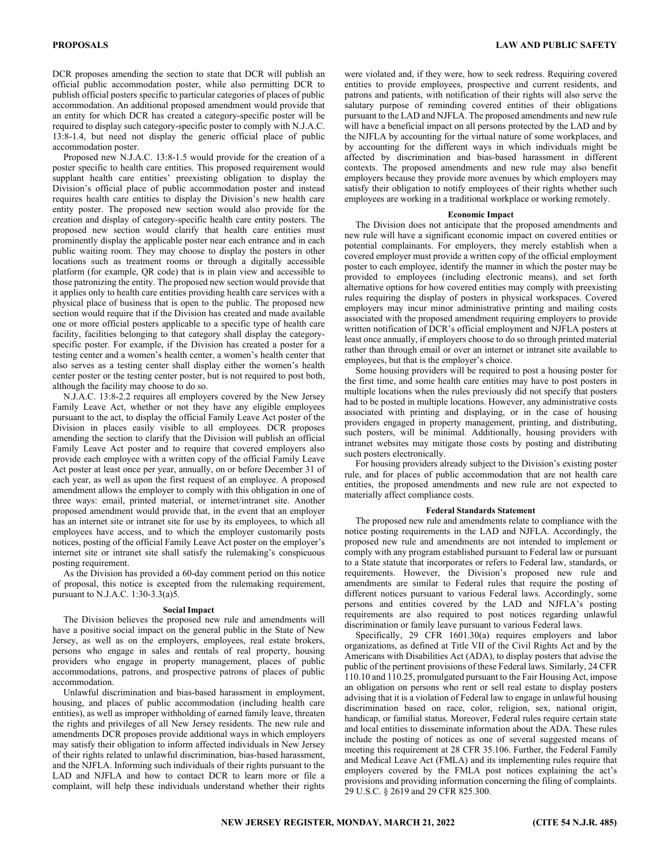DCR proposes amending the section to state that DCR will publish an official public accommodation poster, while also permitting DCR to publish official posters specific to particular categories of places of public accommodation. An additional proposed amendment would provide that an entity for which DCR has created a category-specific poster will be required to display such category-specific poster to comply with N.J.A.C. 13:8-1.4, but need not display the generic official place of public accommodation poster.

Proposed new N.J.A.C. 13:8-1.5 would provide for the creation of a poster specific to health care entities. This proposed requirement would supplant health care entities' preexisting obligation to display the Division's official place of public accommodation poster and instead requires health care entities to display the Division's new health care entity poster. The proposed new section would also provide for the creation and display of category-specific health care entity posters. The proposed new section would clarify that health care entities must prominently display the applicable poster near each entrance and in each public waiting room. They may choose to display the posters in other locations such as treatment rooms or through a digitally accessible platform (for example, QR code) that is in plain view and accessible to those patronizing the entity. The proposed new section would provide that it applies only to health care entities providing health care services with a physical place of business that is open to the public. The proposed new section would require that if the Division has created and made available one or more official posters applicable to a specific type of health care facility, facilities belonging to that category shall display the categoryspecific poster. For example, if the Division has created a poster for a testing center and a women's health center, a women's health center that also serves as a testing center shall display either the women's health center poster or the testing center poster, but is not required to post both, although the facility may choose to do so.

N.J.A.C. 13:8-2.2 requires all employers covered by the New Jersey Family Leave Act, whether or not they have any eligible employees pursuant to the act, to display the official Family Leave Act poster of the Division in places easily visible to all employees. DCR proposes amending the section to clarify that the Division will publish an official Family Leave Act poster and to require that covered employers also provide each employee with a written copy of the official Family Leave Act poster at least once per year, annually, on or before December 31 of each year, as well as upon the first request of an employee. A proposed amendment allows the employer to comply with this obligation in one of three ways: email, printed material, or internet/intranet site. Another proposed amendment would provide that, in the event that an employer has an internet site or intranet site for use by its employees, to which all employees have access, and to which the employer customarily posts notices, posting of the official Family Leave Act poster on the employer's internet site or intranet site shall satisfy the rulemaking's conspicuous posting requirement.

As the Division has provided a 60-day comment period on this notice of proposal, this notice is excepted from the rulemaking requirement, pursuant to N.J.A.C. 1:30-3.3(a)5.

#### **Social Impact**

The Division believes the proposed new rule and amendments will have a positive social impact on the general public in the State of New Jersey, as well as on the employers, employees, real estate brokers, persons who engage in sales and rentals of real property, housing providers who engage in property management, places of public accommodations, patrons, and prospective patrons of places of public accommodation.

Unlawful discrimination and bias-based harassment in employment, housing, and places of public accommodation (including health care entities), as well as improper withholding of earned family leave, threaten the rights and privileges of all New Jersey residents. The new rule and amendments DCR proposes provide additional ways in which employers may satisfy their obligation to inform affected individuals in New Jersey of their rights related to unlawful discrimination, bias-based harassment, and the NJFLA. Informing such individuals of their rights pursuant to the LAD and NJFLA and how to contact DCR to learn more or file a complaint, will help these individuals understand whether their rights

were violated and, if they were, how to seek redress. Requiring covered entities to provide employees, prospective and current residents, and patrons and patients, with notification of their rights will also serve the salutary purpose of reminding covered entities of their obligations pursuant to the LAD and NJFLA. The proposed amendments and new rule will have a beneficial impact on all persons protected by the LAD and by the NJFLA by accounting for the virtual nature of some workplaces, and by accounting for the different ways in which individuals might be affected by discrimination and bias-based harassment in different contexts. The proposed amendments and new rule may also benefit employers because they provide more avenues by which employers may satisfy their obligation to notify employees of their rights whether such employees are working in a traditional workplace or working remotely.

#### **Economic Impact**

The Division does not anticipate that the proposed amendments and new rule will have a significant economic impact on covered entities or potential complainants. For employers, they merely establish when a covered employer must provide a written copy of the official employment poster to each employee, identify the manner in which the poster may be provided to employees (including electronic means), and set forth alternative options for how covered entities may comply with preexisting rules requiring the display of posters in physical workspaces. Covered employers may incur minor administrative printing and mailing costs associated with the proposed amendment requiring employers to provide written notification of DCR's official employment and NJFLA posters at least once annually, if employers choose to do so through printed material rather than through email or over an internet or intranet site available to employees, but that is the employer's choice.

Some housing providers will be required to post a housing poster for the first time, and some health care entities may have to post posters in multiple locations when the rules previously did not specify that posters had to be posted in multiple locations. However, any administrative costs associated with printing and displaying, or in the case of housing providers engaged in property management, printing, and distributing, such posters, will be minimal. Additionally, housing providers with intranet websites may mitigate those costs by posting and distributing such posters electronically.

For housing providers already subject to the Division's existing poster rule, and for places of public accommodation that are not health care entities, the proposed amendments and new rule are not expected to materially affect compliance costs.

#### **Federal Standards Statement**

The proposed new rule and amendments relate to compliance with the notice posting requirements in the LAD and NJFLA. Accordingly, the proposed new rule and amendments are not intended to implement or comply with any program established pursuant to Federal law or pursuant to a State statute that incorporates or refers to Federal law, standards, or requirements. However, the Division's proposed new rule and amendments are similar to Federal rules that require the posting of different notices pursuant to various Federal laws. Accordingly, some persons and entities covered by the LAD and NJFLA's posting requirements are also required to post notices regarding unlawful discrimination or family leave pursuant to various Federal laws.

Specifically, 29 CFR 1601.30(a) requires employers and labor organizations, as defined at Title VII of the Civil Rights Act and by the Americans with Disabilities Act (ADA), to display posters that advise the public of the pertinent provisions of these Federal laws. Similarly, 24 CFR 110.10 and 110.25, promulgated pursuant to the Fair Housing Act, impose an obligation on persons who rent or sell real estate to display posters advising that it is a violation of Federal law to engage in unlawful housing discrimination based on race, color, religion, sex, national origin, handicap, or familial status. Moreover, Federal rules require certain state and local entities to disseminate information about the ADA. These rules include the posting of notices as one of several suggested means of meeting this requirement at 28 CFR 35.106. Further, the Federal Family and Medical Leave Act (FMLA) and its implementing rules require that employers covered by the FMLA post notices explaining the act's provisions and providing information concerning the filing of complaints. 29 U.S.C. § 2619 and 29 CFR 825.300.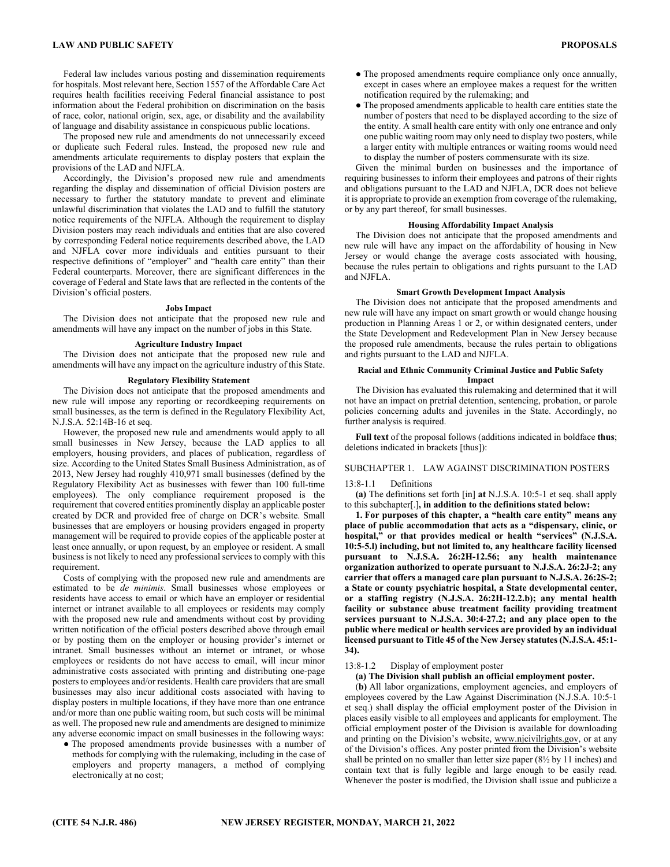Federal law includes various posting and dissemination requirements for hospitals. Most relevant here, Section 1557 of the Affordable Care Act requires health facilities receiving Federal financial assistance to post information about the Federal prohibition on discrimination on the basis of race, color, national origin, sex, age, or disability and the availability of language and disability assistance in conspicuous public locations.

The proposed new rule and amendments do not unnecessarily exceed or duplicate such Federal rules. Instead, the proposed new rule and amendments articulate requirements to display posters that explain the provisions of the LAD and NJFLA.

Accordingly, the Division's proposed new rule and amendments regarding the display and dissemination of official Division posters are necessary to further the statutory mandate to prevent and eliminate unlawful discrimination that violates the LAD and to fulfill the statutory notice requirements of the NJFLA. Although the requirement to display Division posters may reach individuals and entities that are also covered by corresponding Federal notice requirements described above, the LAD and NJFLA cover more individuals and entities pursuant to their respective definitions of "employer" and "health care entity" than their Federal counterparts. Moreover, there are significant differences in the coverage of Federal and State laws that are reflected in the contents of the Division's official posters.

#### **Jobs Impact**

The Division does not anticipate that the proposed new rule and amendments will have any impact on the number of jobs in this State.

#### **Agriculture Industry Impact**

The Division does not anticipate that the proposed new rule and amendments will have any impact on the agriculture industry of this State.

#### **Regulatory Flexibility Statement**

The Division does not anticipate that the proposed amendments and new rule will impose any reporting or recordkeeping requirements on small businesses, as the term is defined in the Regulatory Flexibility Act, N.J.S.A. 52:14B-16 et seq.

However, the proposed new rule and amendments would apply to all small businesses in New Jersey, because the LAD applies to all employers, housing providers, and places of publication, regardless of size. According to the United States Small Business Administration, as of 2013, New Jersey had roughly 410,971 small businesses (defined by the Regulatory Flexibility Act as businesses with fewer than 100 full-time employees). The only compliance requirement proposed is the requirement that covered entities prominently display an applicable poster created by DCR and provided free of charge on DCR's website. Small businesses that are employers or housing providers engaged in property management will be required to provide copies of the applicable poster at least once annually, or upon request, by an employee or resident. A small business is not likely to need any professional services to comply with this requirement.

Costs of complying with the proposed new rule and amendments are estimated to be *de minimis*. Small businesses whose employees or residents have access to email or which have an employer or residential internet or intranet available to all employees or residents may comply with the proposed new rule and amendments without cost by providing written notification of the official posters described above through email or by posting them on the employer or housing provider's internet or intranet. Small businesses without an internet or intranet, or whose employees or residents do not have access to email, will incur minor administrative costs associated with printing and distributing one-page posters to employees and/or residents. Health care providers that are small businesses may also incur additional costs associated with having to display posters in multiple locations, if they have more than one entrance and/or more than one public waiting room, but such costs will be minimal as well. The proposed new rule and amendments are designed to minimize any adverse economic impact on small businesses in the following ways:

● The proposed amendments provide businesses with a number of methods for complying with the rulemaking, including in the case of employers and property managers, a method of complying electronically at no cost;

- The proposed amendments require compliance only once annually, except in cases where an employee makes a request for the written notification required by the rulemaking; and
- The proposed amendments applicable to health care entities state the number of posters that need to be displayed according to the size of the entity. A small health care entity with only one entrance and only one public waiting room may only need to display two posters, while a larger entity with multiple entrances or waiting rooms would need to display the number of posters commensurate with its size.

Given the minimal burden on businesses and the importance of requiring businesses to inform their employees and patrons of their rights and obligations pursuant to the LAD and NJFLA, DCR does not believe it is appropriate to provide an exemption from coverage of the rulemaking, or by any part thereof, for small businesses.

#### **Housing Affordability Impact Analysis**

The Division does not anticipate that the proposed amendments and new rule will have any impact on the affordability of housing in New Jersey or would change the average costs associated with housing, because the rules pertain to obligations and rights pursuant to the LAD and NJFLA.

#### **Smart Growth Development Impact Analysis**

The Division does not anticipate that the proposed amendments and new rule will have any impact on smart growth or would change housing production in Planning Areas 1 or 2, or within designated centers, under the State Development and Redevelopment Plan in New Jersey because the proposed rule amendments, because the rules pertain to obligations and rights pursuant to the LAD and NJFLA.

#### **Racial and Ethnic Community Criminal Justice and Public Safety Impact**

The Division has evaluated this rulemaking and determined that it will not have an impact on pretrial detention, sentencing, probation, or parole policies concerning adults and juveniles in the State. Accordingly, no further analysis is required.

**Full text** of the proposal follows (additions indicated in boldface **thus**; deletions indicated in brackets [thus]):

#### SUBCHAPTER 1. LAW AGAINST DISCRIMINATION POSTERS

#### 13:8-1.1 Definitions

**(a)** The definitions set forth [in] **at** N.J.S.A. 10:5-1 et seq. shall apply to this subchapter[.]**, in addition to the definitions stated below:** 

**1. For purposes of this chapter, a "health care entity" means any place of public accommodation that acts as a "dispensary, clinic, or hospital," or that provides medical or health "services" (N.J.S.A. 10:5-5.l) including, but not limited to, any healthcare facility licensed pursuant to N.J.S.A. 26:2H-12.56; any health maintenance organization authorized to operate pursuant to N.J.S.A. 26:2J-2; any carrier that offers a managed care plan pursuant to N.J.S.A. 26:2S-2; a State or county psychiatric hospital, a State developmental center, or a staffing registry (N.J.S.A. 26:2H-12.2.b); any mental health facility or substance abuse treatment facility providing treatment services pursuant to N.J.S.A. 30:4-27.2; and any place open to the public where medical or health services are provided by an individual licensed pursuant to Title 45 of the New Jersey statutes (N.J.S.A. 45:1- 34).** 

#### 13:8-1.2 Display of employment poster

#### **(a) The Division shall publish an official employment poster.**

(**b)** All labor organizations, employment agencies, and employers of employees covered by the Law Against Discrimination (N.J.S.A. 10:5-1 et seq.) shall display the official employment poster of the Division in places easily visible to all employees and applicants for employment. The official employment poster of the Division is available for downloading and printing on the Division's website, www.njcivilrights.gov, or at any of the Division's offices. Any poster printed from the Division's website shall be printed on no smaller than letter size paper (8½ by 11 inches) and contain text that is fully legible and large enough to be easily read. Whenever the poster is modified, the Division shall issue and publicize a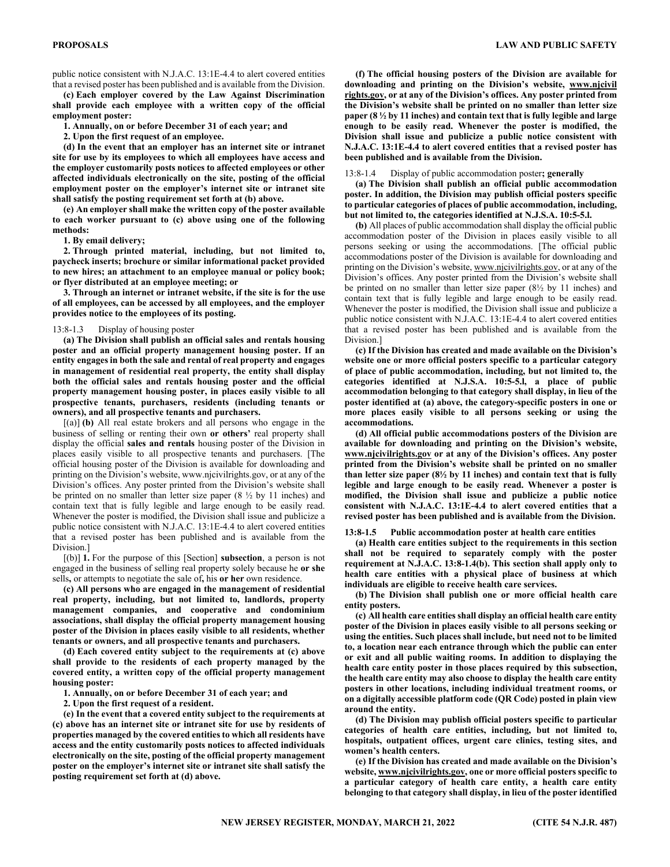public notice consistent with N.J.A.C. 13:1E-4.4 to alert covered entities that a revised poster has been published and is available from the Division.

**(c) Each employer covered by the Law Against Discrimination shall provide each employee with a written copy of the official employment poster:** 

**1. Annually, on or before December 31 of each year; and** 

**2. Upon the first request of an employee.** 

**(d) In the event that an employer has an internet site or intranet site for use by its employees to which all employees have access and the employer customarily posts notices to affected employees or other affected individuals electronically on the site, posting of the official employment poster on the employer's internet site or intranet site shall satisfy the posting requirement set forth at (b) above.** 

**(e) An employer shall make the written copy of the poster available to each worker pursuant to (c) above using one of the following methods:** 

**1. By email delivery;** 

**2. Through printed material, including, but not limited to, paycheck inserts; brochure or similar informational packet provided to new hires; an attachment to an employee manual or policy book; or flyer distributed at an employee meeting; or** 

**3. Through an internet or intranet website, if the site is for the use of all employees, can be accessed by all employees, and the employer provides notice to the employees of its posting.** 

#### 13:8-1.3 Display of housing poster

**(a) The Division shall publish an official sales and rentals housing poster and an official property management housing poster. If an entity engages in both the sale and rental of real property and engages in management of residential real property, the entity shall display both the official sales and rentals housing poster and the official property management housing poster, in places easily visible to all prospective tenants, purchasers, residents (including tenants or owners), and all prospective tenants and purchasers.** 

[(a)] **(b)** All real estate brokers and all persons who engage in the business of selling or renting their own **or others'** real property shall display the official **sales and rentals** housing poster of the Division in places easily visible to all prospective tenants and purchasers. [The official housing poster of the Division is available for downloading and printing on the Division's website, www.njcivilrights.gov, or at any of the Division's offices. Any poster printed from the Division's website shall be printed on no smaller than letter size paper  $(8 \frac{1}{2})$  by 11 inches) and contain text that is fully legible and large enough to be easily read. Whenever the poster is modified, the Division shall issue and publicize a public notice consistent with N.J.A.C. 13:1E-4.4 to alert covered entities that a revised poster has been published and is available from the Division.]

[(b)] **1.** For the purpose of this [Section] **subsection**, a person is not engaged in the business of selling real property solely because he **or she** sells**,** or attempts to negotiate the sale of**,** his **or her** own residence.

**(c) All persons who are engaged in the management of residential real property, including, but not limited to, landlords, property management companies, and cooperative and condominium associations, shall display the official property management housing poster of the Division in places easily visible to all residents, whether tenants or owners, and all prospective tenants and purchasers.** 

**(d) Each covered entity subject to the requirements at (c) above shall provide to the residents of each property managed by the covered entity, a written copy of the official property management housing poster:** 

**1. Annually, on or before December 31 of each year; and** 

**2. Upon the first request of a resident.** 

**(e) In the event that a covered entity subject to the requirements at (c) above has an internet site or intranet site for use by residents of properties managed by the covered entities to which all residents have access and the entity customarily posts notices to affected individuals electronically on the site, posting of the official property management poster on the employer's internet site or intranet site shall satisfy the posting requirement set forth at (d) above.** 

**(f) The official housing posters of the Division are available for downloading and printing on the Division's website, www.njcivil rights.gov, or at any of the Division's offices. Any poster printed from the Division's website shall be printed on no smaller than letter size paper (8 ½ by 11 inches) and contain text that is fully legible and large enough to be easily read. Whenever the poster is modified, the Division shall issue and publicize a public notice consistent with N.J.A.C. 13:1E-4.4 to alert covered entities that a revised poster has been published and is available from the Division.** 

#### 13:8-1.4 Display of public accommodation poster**; generally**

**(a) The Division shall publish an official public accommodation poster. In addition, the Division may publish official posters specific to particular categories of places of public accommodation, including, but not limited to, the categories identified at N.J.S.A. 10:5-5.l.** 

**(b)** All places of public accommodation shall display the official public accommodation poster of the Division in places easily visible to all persons seeking or using the accommodations. [The official public accommodations poster of the Division is available for downloading and printing on the Division's website, www.njcivilrights.gov, or at any of the Division's offices. Any poster printed from the Division's website shall be printed on no smaller than letter size paper (8½ by 11 inches) and contain text that is fully legible and large enough to be easily read. Whenever the poster is modified, the Division shall issue and publicize a public notice consistent with N.J.A.C. 13:1E-4.4 to alert covered entities that a revised poster has been published and is available from the Division.]

**(c) If the Division has created and made available on the Division's website one or more official posters specific to a particular category of place of public accommodation, including, but not limited to, the categories identified at N.J.S.A. 10:5-5.l, a place of public accommodation belonging to that category shall display, in lieu of the poster identified at (a) above, the category-specific posters in one or more places easily visible to all persons seeking or using the accommodations.** 

**(d) All official public accommodations posters of the Division are available for downloading and printing on the Division's website, www.njcivilrights.gov or at any of the Division's offices. Any poster printed from the Division's website shall be printed on no smaller than letter size paper (8½ by 11 inches) and contain text that is fully legible and large enough to be easily read. Whenever a poster is modified, the Division shall issue and publicize a public notice consistent with N.J.A.C. 13:1E-4.4 to alert covered entities that a revised poster has been published and is available from the Division.** 

**13:8-1.5 Public accommodation poster at health care entities**

**(a) Health care entities subject to the requirements in this section shall not be required to separately comply with the poster requirement at N.J.A.C. 13:8-1.4(b). This section shall apply only to health care entities with a physical place of business at which individuals are eligible to receive health care services.** 

**(b) The Division shall publish one or more official health care entity posters.** 

**(c) All health care entities shall display an official health care entity poster of the Division in places easily visible to all persons seeking or using the entities. Such places shall include, but need not to be limited to, a location near each entrance through which the public can enter or exit and all public waiting rooms. In addition to displaying the health care entity poster in those places required by this subsection, the health care entity may also choose to display the health care entity posters in other locations, including individual treatment rooms, or on a digitally accessible platform code (QR Code) posted in plain view around the entity.** 

**(d) The Division may publish official posters specific to particular categories of health care entities, including, but not limited to, hospitals, outpatient offices, urgent care clinics, testing sites, and women's health centers.** 

**(e) If the Division has created and made available on the Division's website, www.njcivilrights.gov, one or more official posters specific to a particular category of health care entity, a health care entity belonging to that category shall display, in lieu of the poster identified**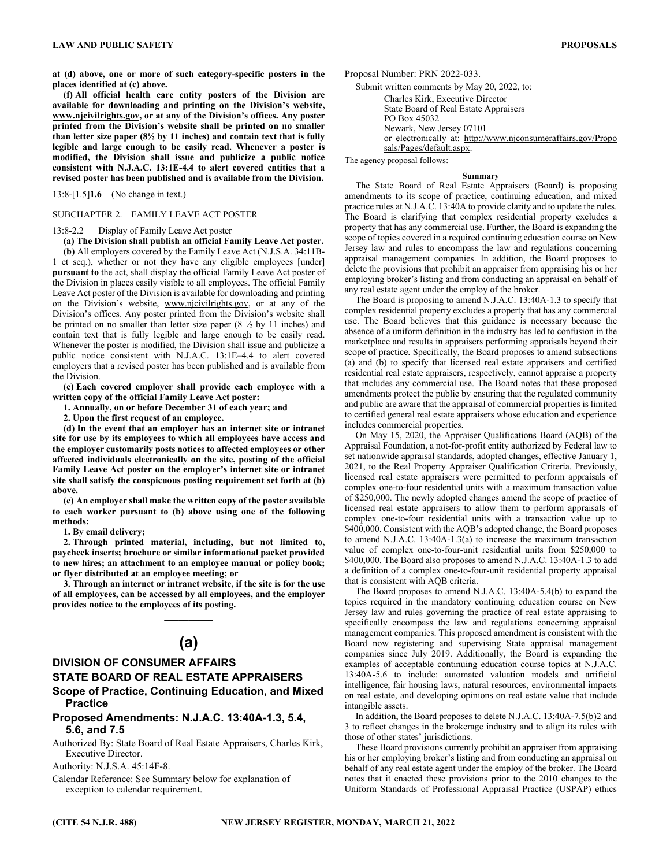**at (d) above, one or more of such category-specific posters in the places identified at (c) above.** 

**(f) All official health care entity posters of the Division are available for downloading and printing on the Division's website, www.njcivilrights.gov, or at any of the Division's offices. Any poster printed from the Division's website shall be printed on no smaller than letter size paper (8½ by 11 inches) and contain text that is fully legible and large enough to be easily read. Whenever a poster is modified, the Division shall issue and publicize a public notice consistent with N.J.A.C. 13:1E-4.4 to alert covered entities that a revised poster has been published and is available from the Division.** 

13:8-[1.5]**1.6** (No change in text.)

#### SUBCHAPTER 2. FAMILY LEAVE ACT POSTER

#### 13:8-2.2 Display of Family Leave Act poster

**(a) The Division shall publish an official Family Leave Act poster.** 

**(b)** All employers covered by the Family Leave Act (N.J.S.A. 34:11B-1 et seq.), whether or not they have any eligible employees [under] **pursuant to** the act, shall display the official Family Leave Act poster of the Division in places easily visible to all employees. The official Family Leave Act poster of the Division is available for downloading and printing on the Division's website, www.njcivilrights.gov, or at any of the Division's offices. Any poster printed from the Division's website shall be printed on no smaller than letter size paper (8 ½ by 11 inches) and contain text that is fully legible and large enough to be easily read. Whenever the poster is modified, the Division shall issue and publicize a public notice consistent with N.J.A.C. 13:1E–4.4 to alert covered employers that a revised poster has been published and is available from the Division.

**(c) Each covered employer shall provide each employee with a written copy of the official Family Leave Act poster:** 

**1. Annually, on or before December 31 of each year; and** 

**2. Upon the first request of an employee.** 

**(d) In the event that an employer has an internet site or intranet site for use by its employees to which all employees have access and the employer customarily posts notices to affected employees or other affected individuals electronically on the site, posting of the official Family Leave Act poster on the employer's internet site or intranet site shall satisfy the conspicuous posting requirement set forth at (b) above.** 

**(e) An employer shall make the written copy of the poster available to each worker pursuant to (b) above using one of the following methods:** 

**1. By email delivery;** 

**2. Through printed material, including, but not limited to, paycheck inserts; brochure or similar informational packet provided to new hires; an attachment to an employee manual or policy book; or flyer distributed at an employee meeting; or** 

**3. Through an internet or intranet website, if the site is for the use of all employees, can be accessed by all employees, and the employer provides notice to the employees of its posting.**   $\mathcal{L}=\mathcal{L}$ 

# **(a)**

## **DIVISION OF CONSUMER AFFAIRS STATE BOARD OF REAL ESTATE APPRAISERS**

## **Scope of Practice, Continuing Education, and Mixed Practice**

## **Proposed Amendments: N.J.A.C. 13:40A-1.3, 5.4, 5.6, and 7.5**

Authorized By: State Board of Real Estate Appraisers, Charles Kirk, Executive Director.

Authority: N.J.S.A. 45:14F-8.

Calendar Reference: See Summary below for explanation of exception to calendar requirement.

Proposal Number: PRN 2022-033.

Submit written comments by May 20, 2022, to: Charles Kirk, Executive Director State Board of Real Estate Appraisers PO Box 45032 Newark, New Jersey 07101 or electronically at: http://www.njconsumeraffairs.gov/Propo sals/Pages/default.aspx.

The agency proposal follows:

#### **Summary**

The State Board of Real Estate Appraisers (Board) is proposing amendments to its scope of practice, continuing education, and mixed practice rules at N.J.A.C. 13:40A to provide clarity and to update the rules. The Board is clarifying that complex residential property excludes a property that has any commercial use. Further, the Board is expanding the scope of topics covered in a required continuing education course on New Jersey law and rules to encompass the law and regulations concerning appraisal management companies. In addition, the Board proposes to delete the provisions that prohibit an appraiser from appraising his or her employing broker's listing and from conducting an appraisal on behalf of any real estate agent under the employ of the broker.

The Board is proposing to amend N.J.A.C. 13:40A-1.3 to specify that complex residential property excludes a property that has any commercial use. The Board believes that this guidance is necessary because the absence of a uniform definition in the industry has led to confusion in the marketplace and results in appraisers performing appraisals beyond their scope of practice. Specifically, the Board proposes to amend subsections (a) and (b) to specify that licensed real estate appraisers and certified residential real estate appraisers, respectively, cannot appraise a property that includes any commercial use. The Board notes that these proposed amendments protect the public by ensuring that the regulated community and public are aware that the appraisal of commercial properties is limited to certified general real estate appraisers whose education and experience includes commercial properties.

On May 15, 2020, the Appraiser Qualifications Board (AQB) of the Appraisal Foundation, a not-for-profit entity authorized by Federal law to set nationwide appraisal standards, adopted changes, effective January 1, 2021, to the Real Property Appraiser Qualification Criteria. Previously, licensed real estate appraisers were permitted to perform appraisals of complex one-to-four residential units with a maximum transaction value of \$250,000. The newly adopted changes amend the scope of practice of licensed real estate appraisers to allow them to perform appraisals of complex one-to-four residential units with a transaction value up to \$400,000. Consistent with the AQB's adopted change, the Board proposes to amend N.J.A.C. 13:40A-1.3(a) to increase the maximum transaction value of complex one-to-four-unit residential units from \$250,000 to \$400,000. The Board also proposes to amend N.J.A.C. 13:40A-1.3 to add a definition of a complex one-to-four-unit residential property appraisal that is consistent with AQB criteria.

The Board proposes to amend N.J.A.C. 13:40A-5.4(b) to expand the topics required in the mandatory continuing education course on New Jersey law and rules governing the practice of real estate appraising to specifically encompass the law and regulations concerning appraisal management companies. This proposed amendment is consistent with the Board now registering and supervising State appraisal management companies since July 2019. Additionally, the Board is expanding the examples of acceptable continuing education course topics at N.J.A.C. 13:40A-5.6 to include: automated valuation models and artificial intelligence, fair housing laws, natural resources, environmental impacts on real estate, and developing opinions on real estate value that include intangible assets.

In addition, the Board proposes to delete N.J.A.C. 13:40A-7.5(b)2 and 3 to reflect changes in the brokerage industry and to align its rules with those of other states' jurisdictions.

These Board provisions currently prohibit an appraiser from appraising his or her employing broker's listing and from conducting an appraisal on behalf of any real estate agent under the employ of the broker. The Board notes that it enacted these provisions prior to the 2010 changes to the Uniform Standards of Professional Appraisal Practice (USPAP) ethics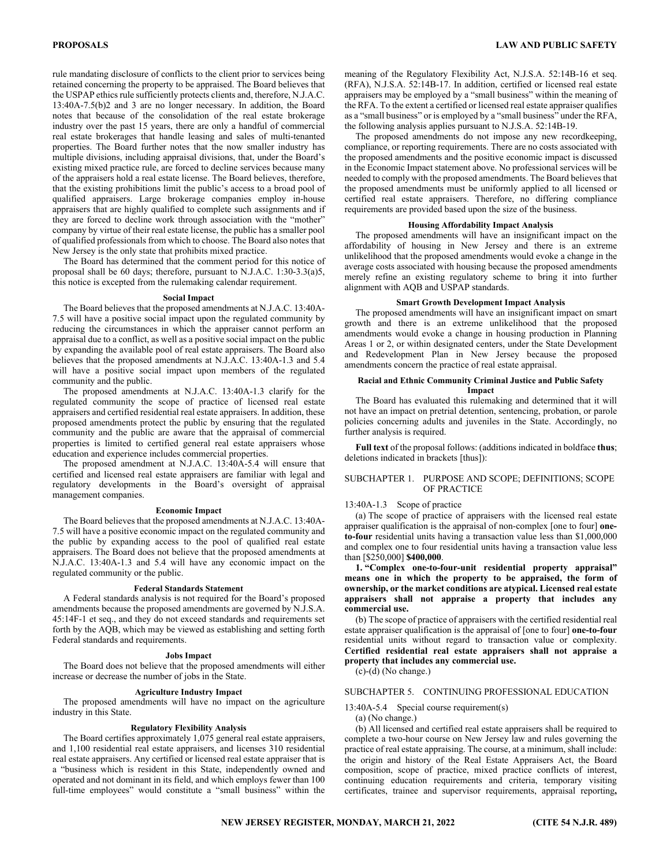rule mandating disclosure of conflicts to the client prior to services being retained concerning the property to be appraised. The Board believes that the USPAP ethics rule sufficiently protects clients and, therefore, N.J.A.C. 13:40A-7.5(b)2 and 3 are no longer necessary. In addition, the Board notes that because of the consolidation of the real estate brokerage industry over the past 15 years, there are only a handful of commercial real estate brokerages that handle leasing and sales of multi-tenanted properties. The Board further notes that the now smaller industry has multiple divisions, including appraisal divisions, that, under the Board's existing mixed practice rule, are forced to decline services because many of the appraisers hold a real estate license. The Board believes, therefore, that the existing prohibitions limit the public's access to a broad pool of qualified appraisers. Large brokerage companies employ in-house appraisers that are highly qualified to complete such assignments and if they are forced to decline work through association with the "mother" company by virtue of their real estate license, the public has a smaller pool of qualified professionals from which to choose. The Board also notes that New Jersey is the only state that prohibits mixed practice.

The Board has determined that the comment period for this notice of proposal shall be 60 days; therefore, pursuant to N.J.A.C. 1:30-3.3(a)5, this notice is excepted from the rulemaking calendar requirement.

#### **Social Impact**

The Board believes that the proposed amendments at N.J.A.C. 13:40A-7.5 will have a positive social impact upon the regulated community by reducing the circumstances in which the appraiser cannot perform an appraisal due to a conflict, as well as a positive social impact on the public by expanding the available pool of real estate appraisers. The Board also believes that the proposed amendments at N.J.A.C. 13:40A-1.3 and 5.4 will have a positive social impact upon members of the regulated community and the public.

The proposed amendments at N.J.A.C. 13:40A-1.3 clarify for the regulated community the scope of practice of licensed real estate appraisers and certified residential real estate appraisers. In addition, these proposed amendments protect the public by ensuring that the regulated community and the public are aware that the appraisal of commercial properties is limited to certified general real estate appraisers whose education and experience includes commercial properties.

The proposed amendment at N.J.A.C. 13:40A-5.4 will ensure that certified and licensed real estate appraisers are familiar with legal and regulatory developments in the Board's oversight of appraisal management companies.

#### **Economic Impact**

The Board believes that the proposed amendments at N.J.A.C. 13:40A-7.5 will have a positive economic impact on the regulated community and the public by expanding access to the pool of qualified real estate appraisers. The Board does not believe that the proposed amendments at N.J.A.C. 13:40A-1.3 and 5.4 will have any economic impact on the regulated community or the public.

#### **Federal Standards Statement**

A Federal standards analysis is not required for the Board's proposed amendments because the proposed amendments are governed by N.J.S.A. 45:14F-1 et seq., and they do not exceed standards and requirements set forth by the AQB, which may be viewed as establishing and setting forth Federal standards and requirements.

#### **Jobs Impact**

The Board does not believe that the proposed amendments will either increase or decrease the number of jobs in the State.

#### **Agriculture Industry Impact**

The proposed amendments will have no impact on the agriculture industry in this State.

#### **Regulatory Flexibility Analysis**

The Board certifies approximately 1,075 general real estate appraisers, and 1,100 residential real estate appraisers, and licenses 310 residential real estate appraisers. Any certified or licensed real estate appraiser that is a "business which is resident in this State, independently owned and operated and not dominant in its field, and which employs fewer than 100 full-time employees" would constitute a "small business" within the

meaning of the Regulatory Flexibility Act, N.J.S.A. 52:14B-16 et seq. (RFA), N.J.S.A. 52:14B-17. In addition, certified or licensed real estate appraisers may be employed by a "small business" within the meaning of the RFA. To the extent a certified or licensed real estate appraiser qualifies as a "small business" or is employed by a "small business" under the RFA, the following analysis applies pursuant to N.J.S.A. 52:14B-19.

The proposed amendments do not impose any new recordkeeping, compliance, or reporting requirements. There are no costs associated with the proposed amendments and the positive economic impact is discussed in the Economic Impact statement above. No professional services will be needed to comply with the proposed amendments. The Board believes that the proposed amendments must be uniformly applied to all licensed or certified real estate appraisers. Therefore, no differing compliance requirements are provided based upon the size of the business.

#### **Housing Affordability Impact Analysis**

The proposed amendments will have an insignificant impact on the affordability of housing in New Jersey and there is an extreme unlikelihood that the proposed amendments would evoke a change in the average costs associated with housing because the proposed amendments merely refine an existing regulatory scheme to bring it into further alignment with AQB and USPAP standards.

## **Smart Growth Development Impact Analysis**

The proposed amendments will have an insignificant impact on smart growth and there is an extreme unlikelihood that the proposed amendments would evoke a change in housing production in Planning Areas 1 or 2, or within designated centers, under the State Development and Redevelopment Plan in New Jersey because the proposed amendments concern the practice of real estate appraisal.

#### **Racial and Ethnic Community Criminal Justice and Public Safety Impact**

The Board has evaluated this rulemaking and determined that it will not have an impact on pretrial detention, sentencing, probation, or parole policies concerning adults and juveniles in the State. Accordingly, no further analysis is required.

**Full text** of the proposal follows: (additions indicated in boldface **thus**; deletions indicated in brackets [thus]):

#### SUBCHAPTER 1. PURPOSE AND SCOPE; DEFINITIONS; SCOPE OF PRACTICE

#### 13:40A-1.3 Scope of practice

(a) The scope of practice of appraisers with the licensed real estate appraiser qualification is the appraisal of non-complex [one to four] **oneto-four** residential units having a transaction value less than \$1,000,000 and complex one to four residential units having a transaction value less than [\$250,000] **\$400,000**.

**1. "Complex one-to-four-unit residential property appraisal" means one in which the property to be appraised, the form of ownership, or the market conditions are atypical. Licensed real estate appraisers shall not appraise a property that includes any commercial use.** 

(b) The scope of practice of appraisers with the certified residential real estate appraiser qualification is the appraisal of [one to four] **one-to-four** residential units without regard to transaction value or complexity. **Certified residential real estate appraisers shall not appraise a property that includes any commercial use.**

(c)-(d) (No change.)

## SUBCHAPTER 5. CONTINUING PROFESSIONAL EDUCATION

#### 13:40A-5.4 Special course requirement(s)

(a) (No change.)

(b) All licensed and certified real estate appraisers shall be required to complete a two-hour course on New Jersey law and rules governing the practice of real estate appraising. The course, at a minimum, shall include: the origin and history of the Real Estate Appraisers Act, the Board composition, scope of practice, mixed practice conflicts of interest, continuing education requirements and criteria, temporary visiting certificates, trainee and supervisor requirements, appraisal reporting**,**